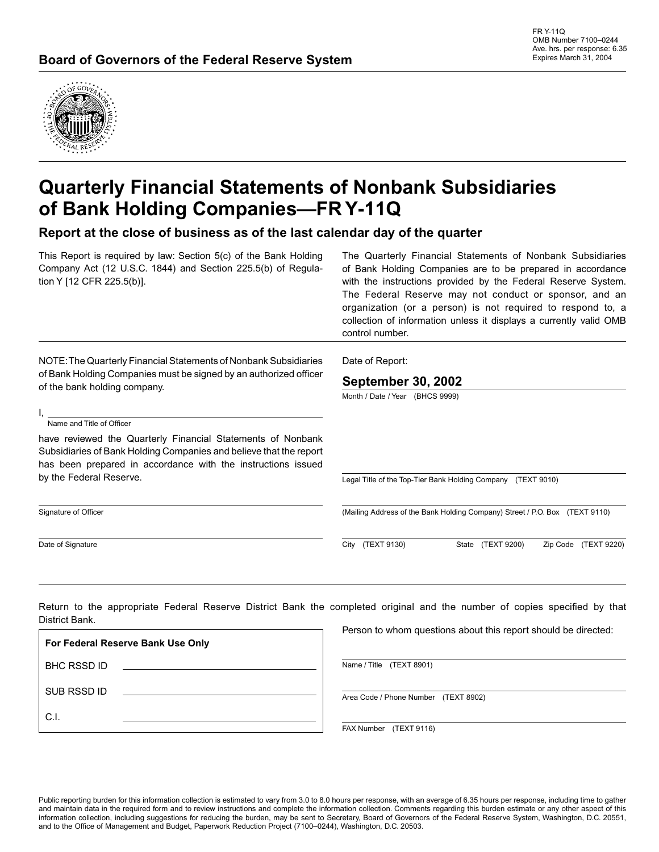

# **Quarterly Financial Statements of Nonbank Subsidiaries of Bank Holding Companies—FR Y-11Q**

**Report at the close of business as of the last calendar day of the quarter**

This Report is required by law: Section 5(c) of the Bank Holding Company Act (12 U.S.C. 1844) and Section 225.5(b) of Regulation Y [12 CFR 225.5(b)].

The Quarterly Financial Statements of Nonbank Subsidiaries of Bank Holding Companies are to be prepared in accordance with the instructions provided by the Federal Reserve System. The Federal Reserve may not conduct or sponsor, and an organization (or a person) is not required to respond to, a collection of information unless it displays a currently valid OMB control number.

NOTE: The Quarterly Financial Statements of Nonbank Subsidiaries of Bank Holding Companies must be signed by an authorized officer of the bank holding company.

Name and Title of Officer

I,

have reviewed the Quarterly Financial Statements of Nonbank Subsidiaries of Bank Holding Companies and believe that the report has been prepared in accordance with the instructions issued by the Federal Reserve.

Signature of Officer

Date of Signature

Date of Report:

#### **September 30, 2002**

Month / Date / Year (BHCS 9999)

Legal Title of the Top-Tier Bank Holding Company (TEXT 9010)

(Mailing Address of the Bank Holding Company) Street / P.O. Box (TEXT 9110)

City (TEXT 9130) State (TEXT 9200) Zip Code (TEXT 9220)

Return to the appropriate Federal Reserve District Bank the completed original and the number of copies specified by that District Bank.

| For Federal Reserve Bank Use Only |  |
|-----------------------------------|--|
| <b>BHC RSSD ID</b>                |  |
| SUB RSSD ID                       |  |
| C.I.                              |  |

Person to whom questions about this report should be directed:

Name / Title (TEXT 8901)

Area Code / Phone Number (TEXT 8902)

FAX Number (TEXT 9116)

Public reporting burden for this information collection is estimated to vary from 3.0 to 8.0 hours per response, with an average of 6.35 hours per response, including time to gather and maintain data in the required form and to review instructions and complete the information collection. Comments regarding this burden estimate or any other aspect of this information collection, including suggestions for reducing the burden, may be sent to Secretary, Board of Governors of the Federal Reserve System, Washington, D.C. 20551, and to the Office of Management and Budget, Paperwork Reduction Project (7100-0244), Washington, D.C. 20503.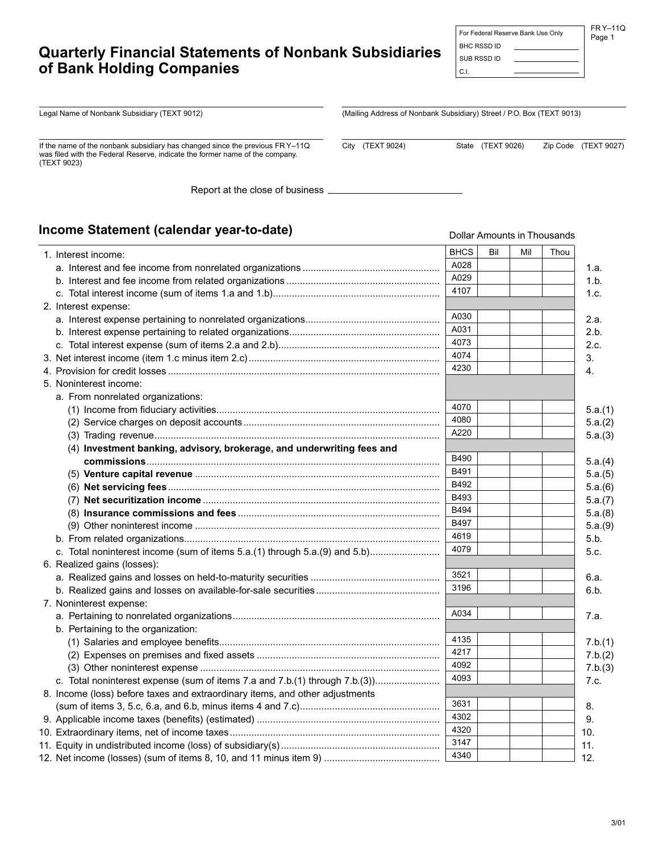# **Quarterly Financial Statements of Nonbank Subsidiaries of Bank Holding Companies**

FR Y–11Q Page 1 For Federal Reserve Bank Use Only

BHC RSSD ID

Legal Name of Nonbank Subsidiary (TEXT 9012)

If the name of the nonbank subsidiary has changed since the previous FR Y–11Q was filed with the Federal Reserve, indicate the former name of the company. (TEXT 9023)

Report at the close of business

### **Income Statement (calendar year-to-date)**

| mcome Statement (calendar year-to-date)                                      |             |     |     | Dollar Amounts in Thousands |
|------------------------------------------------------------------------------|-------------|-----|-----|-----------------------------|
| 1. Interest income:                                                          |             | Bil | Mil | Thou                        |
|                                                                              | A028        |     |     | 1.a.                        |
|                                                                              | A029        |     |     | 1.b.                        |
|                                                                              | 4107        |     |     | 1.c.                        |
| 2. Interest expense:                                                         |             |     |     |                             |
|                                                                              | A030        |     |     | 2.a.                        |
|                                                                              | A031        |     |     | 2.b.                        |
|                                                                              | 4073        |     |     | 2.c.                        |
|                                                                              | 4074        |     |     | 3.                          |
|                                                                              | 4230        |     |     | 4.                          |
| 5. Noninterest income:                                                       |             |     |     |                             |
| a. From nonrelated organizations:                                            |             |     |     |                             |
|                                                                              | 4070        |     |     | 5.a.(1)                     |
|                                                                              | 4080        |     |     | 5.a.(2)                     |
|                                                                              | A220        |     |     | 5.a.(3)                     |
| (4) Investment banking, advisory, brokerage, and underwriting fees and       |             |     |     |                             |
|                                                                              | <b>B490</b> |     |     | 5.a.(4)                     |
| (5)  Venture capital revenue ……………………………………………………………………………                   | B491        |     |     | 5.a.(5)                     |
|                                                                              | B492        |     |     | 5.a.(6)                     |
|                                                                              | B493        |     |     | 5.a.(7)                     |
|                                                                              | B494        |     |     | 5.a.(8)                     |
|                                                                              | B497        |     |     | 5.a.(9)                     |
|                                                                              | 4619        |     |     | 5.b.                        |
| c. Total noninterest income (sum of items 5.a.(1) through 5.a.(9) and 5.b)   | 4079        |     |     | 5.c.                        |
| 6. Realized gains (losses):                                                  |             |     |     |                             |
|                                                                              | 3521        |     |     | 6.a.                        |
|                                                                              | 3196        |     |     | 6.b.                        |
| 7. Noninterest expense:                                                      |             |     |     |                             |
|                                                                              | A034        |     |     | 7.a.                        |
| b. Pertaining to the organization:                                           |             |     |     |                             |
|                                                                              | 4135        |     |     | 7.b.(1)                     |
|                                                                              | 4217        |     |     | 7.b.(2)                     |
|                                                                              | 4092        |     |     | 7.b.(3)                     |
| c. Total noninterest expense (sum of items 7.a and 7.b.(1) through 7.b.(3))  | 4093        |     |     | 7.c.                        |
| 8. Income (loss) before taxes and extraordinary items, and other adjustments |             |     |     |                             |
|                                                                              | 3631        |     |     | 8.                          |
|                                                                              | 4302        |     |     | 9.                          |
|                                                                              | 4320        |     |     | 10.                         |
|                                                                              | 3147        |     |     | 11.                         |
|                                                                              | 4340        |     |     | 12.                         |

(Mailing Address of Nonbank Subsidiary) Street / P.O. Box (TEXT 9013)

City (TEXT 9024) State (TEXT 9026) Zip Code (TEXT 9027)

 SUB RSSD ID C.I.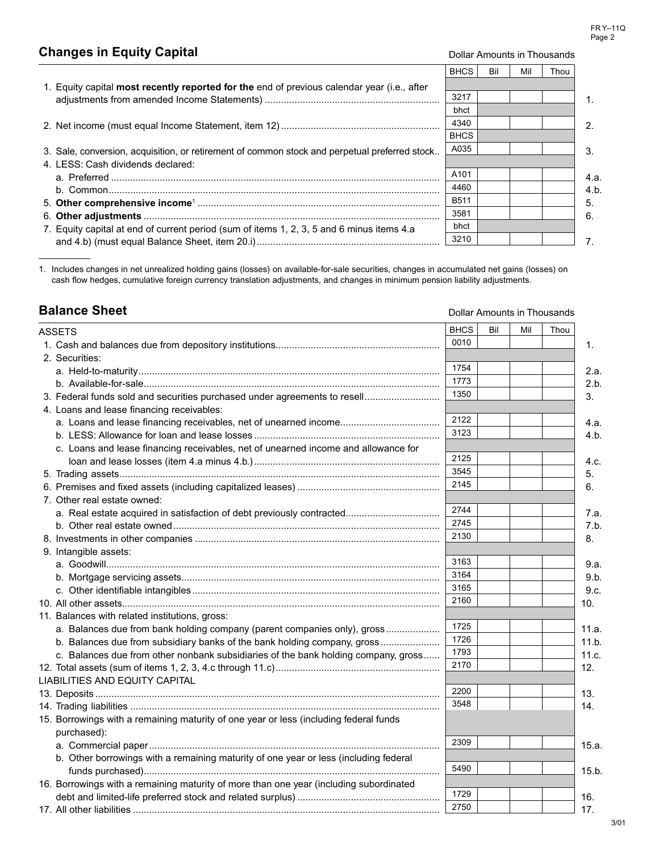# **Changes in Equity Capital Changes in Equity Capital Dollar Amounts in Thousands**

Dollar Amounts in Thousands

|                                                                                               | <b>BHCS</b>      | Bil | Mil | Thou |      |
|-----------------------------------------------------------------------------------------------|------------------|-----|-----|------|------|
| 1. Equity capital most recently reported for the end of previous calendar year (i.e., after   |                  |     |     |      |      |
|                                                                                               | 3217             |     |     |      |      |
|                                                                                               | bhct             |     |     |      |      |
|                                                                                               | 4340             |     |     |      |      |
|                                                                                               | <b>BHCS</b>      |     |     |      |      |
| 3. Sale, conversion, acquisition, or retirement of common stock and perpetual preferred stock | A035             |     |     |      | З.   |
| 4. LESS: Cash dividends declared:                                                             |                  |     |     |      |      |
|                                                                                               | A <sub>101</sub> |     |     |      | 4.a. |
|                                                                                               | 4460             |     |     |      | 4.b. |
|                                                                                               | <b>B511</b>      |     |     |      | 5.   |
|                                                                                               | 3581             |     |     |      | 6.   |
| 7. Equity capital at end of current period (sum of items 1, 2, 3, 5 and 6 minus items 4.a     | bhct             |     |     |      |      |
|                                                                                               | 3210             |     |     |      |      |

1. Includes changes in net unrealized holding gains (losses) on available-for-sale securities, changes in accumulated net gains (losses) on cash flow hedges, cumulative foreign currency translation adjustments, and changes in minimum pension liability adjustments.

# **Balance Sheet**

| ASSETS                                                                                 | <b>BHCS</b> | Bil | Mil | Thou |       |
|----------------------------------------------------------------------------------------|-------------|-----|-----|------|-------|
|                                                                                        | 0010        |     |     |      | 1.    |
| 2. Securities:                                                                         |             |     |     |      |       |
|                                                                                        | 1754        |     |     |      | 2.a.  |
|                                                                                        | 1773        |     |     |      | 2.b.  |
| 3. Federal funds sold and securities purchased under agreements to resell              | 1350        |     |     |      | 3.    |
| 4. Loans and lease financing receivables:                                              |             |     |     |      |       |
| a. Loans and lease financing receivables, net of unearned income                       | 2122        |     |     |      | 4.a.  |
|                                                                                        | 3123        |     |     |      | 4.b.  |
| c. Loans and lease financing receivables, net of unearned income and allowance for     |             |     |     |      |       |
|                                                                                        | 2125        |     |     |      | 4.c.  |
|                                                                                        | 3545        |     |     |      | 5.    |
|                                                                                        | 2145        |     |     |      | 6.    |
| 7. Other real estate owned:                                                            |             |     |     |      |       |
|                                                                                        | 2744        |     |     |      | 7.a.  |
|                                                                                        | 2745        |     |     |      | 7.b.  |
|                                                                                        | 2130        |     |     |      | 8.    |
| 9. Intangible assets:                                                                  |             |     |     |      |       |
|                                                                                        | 3163        |     |     |      | 9.a.  |
|                                                                                        | 3164        |     |     |      | 9.b.  |
|                                                                                        | 3165        |     |     |      | 9.c.  |
|                                                                                        | 2160        |     |     |      | 10.   |
| 11. Balances with related institutions, gross:                                         |             |     |     |      |       |
| a. Balances due from bank holding company (parent companies only), gross               | 1725        |     |     |      | 11.a. |
| b. Balances due from subsidiary banks of the bank holding company, gross               | 1726        |     |     |      | 11.b. |
| c. Balances due from other nonbank subsidiaries of the bank holding company, gross     | 1793        |     |     |      | 11.c. |
|                                                                                        | 2170        |     |     |      | 12.   |
| <b>LIABILITIES AND EQUITY CAPITAL</b>                                                  |             |     |     |      |       |
|                                                                                        | 2200        |     |     |      | 13.   |
|                                                                                        | 3548        |     |     |      | 14.   |
| 15. Borrowings with a remaining maturity of one year or less (including federal funds  |             |     |     |      |       |
| purchased):                                                                            |             |     |     |      |       |
|                                                                                        | 2309        |     |     |      | 15.a. |
| b. Other borrowings with a remaining maturity of one year or less (including federal   |             |     |     |      |       |
|                                                                                        | 5490        |     |     |      | 15.b. |
| 16. Borrowings with a remaining maturity of more than one year (including subordinated |             |     |     |      |       |
|                                                                                        | 1729        |     |     |      | 16.   |
|                                                                                        | 2750        |     |     |      | 17.   |
|                                                                                        |             |     |     |      |       |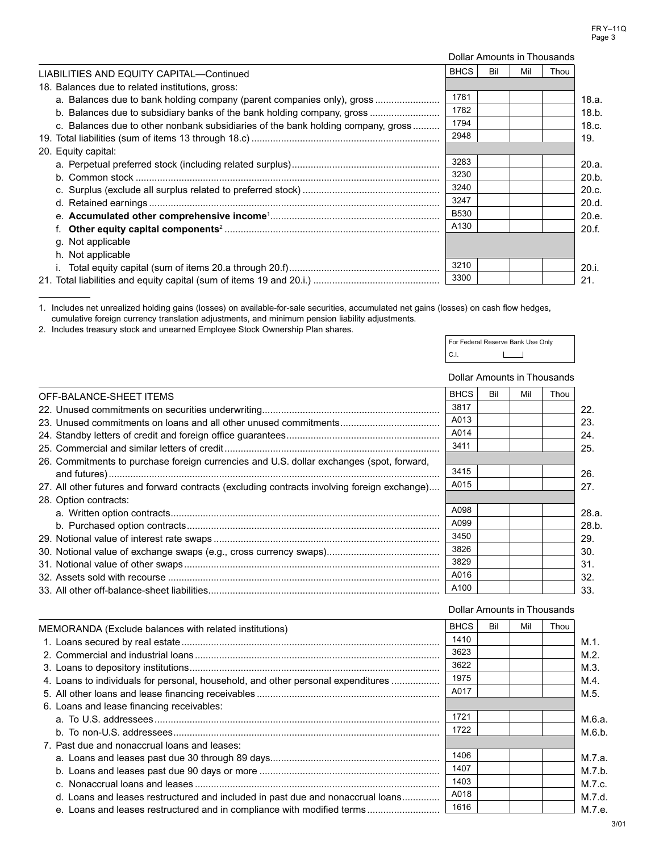|                                                                                  |             |     |     | Dollar Amounts in Thousands |       |
|----------------------------------------------------------------------------------|-------------|-----|-----|-----------------------------|-------|
| LIABILITIES AND EQUITY CAPITAL-Continued                                         | <b>BHCS</b> | Bil | Mil | Thou                        |       |
| 18. Balances due to related institutions, gross:                                 |             |     |     |                             |       |
| a. Balances due to bank holding company (parent companies only), gross           | 1781        |     |     |                             | 18.a. |
| b. Balances due to subsidiary banks of the bank holding company, gross           | 1782        |     |     |                             | 18.b. |
| c. Balances due to other nonbank subsidiaries of the bank holding company, gross | 1794        |     |     |                             | 18.c. |
|                                                                                  | 2948        |     |     |                             | 19.   |
| 20. Equity capital:                                                              |             |     |     |                             |       |
|                                                                                  | 3283        |     |     |                             | 20.a. |
|                                                                                  | 3230        |     |     |                             | 20.b. |
|                                                                                  | 3240        |     |     |                             | 20.c. |
|                                                                                  | 3247        |     |     |                             | 20.d. |
|                                                                                  | <b>B530</b> |     |     |                             | 20.e. |
|                                                                                  | A130        |     |     |                             | 20.f. |
| g. Not applicable                                                                |             |     |     |                             |       |
| h. Not applicable                                                                |             |     |     |                             |       |
|                                                                                  | 3210        |     |     |                             | 20.1  |
|                                                                                  | 3300        |     |     |                             | 21.   |

1. Includes net unrealized holding gains (losses) on available-for-sale securities, accumulated net gains (losses) on cash flow hedges, cumulative foreign currency translation adjustments, and minimum pension liability adjustments.

2. Includes treasury stock and unearned Employee Stock Ownership Plan shares.

|   | For Federal Reserve Bank Use Only |
|---|-----------------------------------|
| C |                                   |

#### Dollar Amounts in Thousands

| 3817<br>22.<br>A013<br>23.<br>A014<br>24.<br>3411<br>25.<br>26. Commitments to purchase foreign currencies and U.S. dollar exchanges (spot, forward,<br>3415<br>26.<br>A015<br>27. All other futures and forward contracts (excluding contracts involving foreign exchange)<br>27.<br>28. Option contracts:<br>A098<br>28.a.<br>A099<br>28.b.<br>3450<br>29.<br>3826<br>30.<br>3829<br>31.<br>A016<br>32.<br>A100<br>33. | OFF-BALANCE-SHEET ITEMS | <b>BHCS</b> | Bil | Mil | Thou |  |
|--------------------------------------------------------------------------------------------------------------------------------------------------------------------------------------------------------------------------------------------------------------------------------------------------------------------------------------------------------------------------------------------------------------------------|-------------------------|-------------|-----|-----|------|--|
|                                                                                                                                                                                                                                                                                                                                                                                                                          |                         |             |     |     |      |  |
|                                                                                                                                                                                                                                                                                                                                                                                                                          |                         |             |     |     |      |  |
|                                                                                                                                                                                                                                                                                                                                                                                                                          |                         |             |     |     |      |  |
|                                                                                                                                                                                                                                                                                                                                                                                                                          |                         |             |     |     |      |  |
|                                                                                                                                                                                                                                                                                                                                                                                                                          |                         |             |     |     |      |  |
|                                                                                                                                                                                                                                                                                                                                                                                                                          |                         |             |     |     |      |  |
|                                                                                                                                                                                                                                                                                                                                                                                                                          |                         |             |     |     |      |  |
|                                                                                                                                                                                                                                                                                                                                                                                                                          |                         |             |     |     |      |  |
|                                                                                                                                                                                                                                                                                                                                                                                                                          |                         |             |     |     |      |  |
|                                                                                                                                                                                                                                                                                                                                                                                                                          |                         |             |     |     |      |  |
|                                                                                                                                                                                                                                                                                                                                                                                                                          |                         |             |     |     |      |  |
|                                                                                                                                                                                                                                                                                                                                                                                                                          |                         |             |     |     |      |  |
|                                                                                                                                                                                                                                                                                                                                                                                                                          |                         |             |     |     |      |  |
|                                                                                                                                                                                                                                                                                                                                                                                                                          |                         |             |     |     |      |  |
|                                                                                                                                                                                                                                                                                                                                                                                                                          |                         |             |     |     |      |  |

# Dollar Amounts in Thousands

| MEMORANDA (Exclude balances with related institutions)                           | <b>BHCS</b> | Bil | Mil | Thou |         |
|----------------------------------------------------------------------------------|-------------|-----|-----|------|---------|
|                                                                                  | 1410        |     |     |      | M.1.    |
|                                                                                  | 3623        |     |     |      | $M.2$ . |
|                                                                                  | 3622        |     |     |      | M.3     |
| 4. Loans to individuals for personal, household, and other personal expenditures | 1975        |     |     |      | M.4.    |
|                                                                                  | A017        |     |     |      | M.5.    |
| 6. Loans and lease financing receivables:                                        |             |     |     |      |         |
|                                                                                  | 1721        |     |     |      | M.6.a.  |
|                                                                                  | 1722        |     |     |      | M.6.b.  |
| 7. Past due and nonaccrual loans and leases:                                     |             |     |     |      |         |
|                                                                                  | 1406        |     |     |      | M.7.a.  |
|                                                                                  | 1407        |     |     |      | M.7.b.  |
|                                                                                  | 1403        |     |     |      | M.7.c.  |
| d. Loans and leases restructured and included in past due and nonaccrual loans   | A018        |     |     |      | M.7.d.  |
| e. Loans and leases restructured and in compliance with modified terms           | 1616        |     |     |      | M.7.e.  |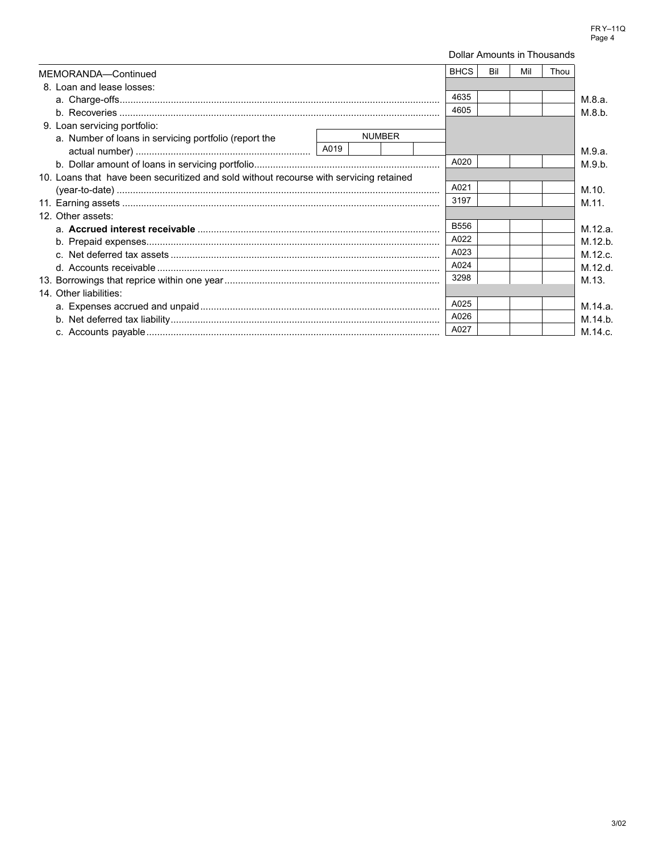|                                                                                        | Dollar Amounts in Thousands |     |     |      |         |
|----------------------------------------------------------------------------------------|-----------------------------|-----|-----|------|---------|
| MEMORANDA-Continued                                                                    | <b>BHCS</b>                 | Bil | Mil | Thou |         |
| 8. Loan and lease losses:                                                              |                             |     |     |      |         |
|                                                                                        | 4635                        |     |     |      | M.8.a.  |
|                                                                                        | 4605                        |     |     |      | M.8.b.  |
| 9. Loan servicing portfolio:                                                           |                             |     |     |      |         |
| <b>NUMBER</b><br>a. Number of loans in servicing portfolio (report the                 |                             |     |     |      |         |
|                                                                                        |                             |     |     |      | M.9.a.  |
|                                                                                        | A020                        |     |     |      | M.9.b.  |
| 10. Loans that have been securitized and sold without recourse with servicing retained |                             |     |     |      |         |
|                                                                                        | A021                        |     |     |      | M.10.   |
|                                                                                        | 3197                        |     |     |      | M.11.   |
| 12. Other assets:                                                                      |                             |     |     |      |         |
|                                                                                        | <b>B556</b>                 |     |     |      | M.12.a. |
|                                                                                        | A022                        |     |     |      | M.12.b. |
|                                                                                        | A023                        |     |     |      | M.12.c. |
|                                                                                        | A024                        |     |     |      | M.12.d. |
|                                                                                        |                             |     |     |      | M.13.   |
| 14. Other liabilities:                                                                 |                             |     |     |      |         |
|                                                                                        | A025                        |     |     |      | M.14.a. |
|                                                                                        | A026                        |     |     |      | M.14.b. |
|                                                                                        | A027                        |     |     |      | M.14.c. |